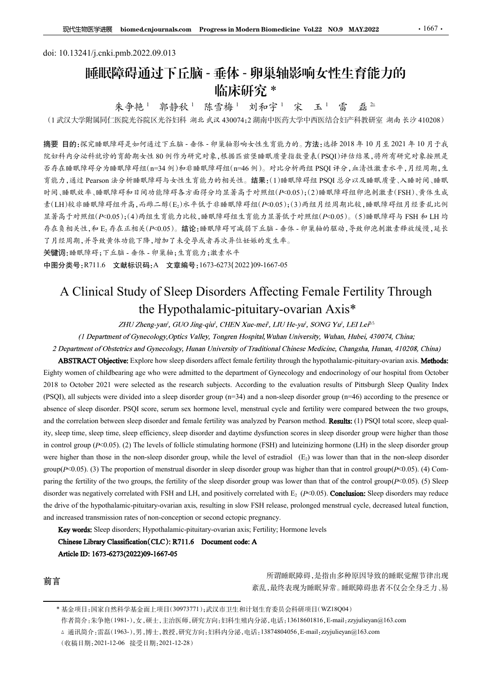# doi: 10.13241/j.cnki.pmb.2022.09.013 睡眠障碍通过下丘脑 - 垂体 - 卵巢轴影响女性生育能力的 临床研究 \* 郭静秋 <sup>1</sup> 陈雪梅 <sup>1</sup> 刘和宇 <sup>1</sup> 宋 玉 <sup>1</sup> 雷 磊 <sup>2</sup>△

朱争艳1 郭静秋1

(<sup>1</sup> 武汉大学附属同仁医院光谷院区光谷妇科 湖北 武汉 <sup>430074</sup>;<sup>2</sup> 湖南中医药大学中西医结合妇产科教研室 湖南 长沙 <sup>410208</sup>)

摘要 目的:探究睡眠障碍是如何通过下丘脑 - 垂体 - 卵巢轴影响女性生育能力的。方法:选择 2018 年 10 月至 2021 年 10 月于我 院妇科内分泌科就诊的育龄期女性 80 例作为研究对象,根据匹兹堡睡眠质量指数量表(PSQI)评估结果,将所有研究对象按照是 否存在睡眠障碍分为睡眠障碍组(n=34 例)和非睡眠障碍组(n=46 例)。对比分析两组 PSQI 评分,血清性激素水平,月经周期,生 育能力,通过 Pearson 法分析睡眠障碍与女性生育能力的相关性。结果:(1)睡眠障碍组 PSQI 总分以及睡眠质量、入睡时间、睡眠 时间、睡眠效率、睡眠障碍和日间功能障碍各方面得分均显著高于对照组(P<0.05);(2)睡眠障碍组卵泡刺激素(FSH)、黄体生成 素(LH)较非睡眠障碍组升高,而雌二醇(E<sub>2</sub>)水平低于非睡眠障碍组(P<0.05);(3)两组月经周期比较,睡眠障碍组月经紊乱比例 显著高于对照组( $P<0.05$ );(4)两组生育能力比较,睡眠障碍组生育能力显著低于对照组( $P<0.05$ )。(5)睡眠障碍与 FSH 和 LH 均 存在负相关性,和 E2 存在正相关(P<0.05)。结论:睡眠障碍可减弱下丘脑 - 垂体 - 卵巢轴的驱动,导致卵泡刺激素释放缓慢,延长 了月经周期,并导致黄体功能下降,增加了未受孕或者再次异位妊娠的发生率。 A Clinical Study of Sleep Disorders Affecting Female Fertility Through e)<br>
2. 郭静秋 - 陈雪梅- 刘和宇 - 宋 玉 - 雷 磊 <sup>2.</sup><br>S院区光谷炬科 湖北武区 430074;2 湖南中医药大学中两医结合妇产科数研室 湖南 长沙 410208)<br>
F通过下丘脑 - 参休 - 卵巢抽影响女性生育能力的。方法:选择 2018 年 10 月 壬 2021 年 10 月 千 我<br>
4道过下丘脑 - 参休 - 卵巢抽影响女性生育能力的。方法:选择 2018 年 10 月 壬 2021 年 10 月 千 explore how sleep disorders affect female fertility through the hypothalamic-pituitary-ovarian axis. **Methods:**<br>  $\mathcal{B}_{\mathcal{H}}$  and  $\mathcal{H}_{\mathcal{H}}$  and  $\mathcal{H}_{\mathcal{H}}$  and  $\mathcal{H}_{\mathcal{H}}$  and  $\mathcal{H}_{\mathcal{H}}$  and  $\mathcal{H}_{\mathcal{H$ Life of comparison of Children's women of Children's women of Children's who were admitted to the comparison of the department of  $\theta$  and a mini-set of  $\theta$  and a mini-set of Gyine Righty Who were admitted to  $\theta$  and

关键词:睡眠障碍;下丘脑 - 垂体 - 卵巢轴;生育能力;激素水平

中图分类号:R711.6 文献标识码:A 文章编号:1673-6273(2022)09-1667-05

2022 to October 2021 were selected as the research subjects. According to the results of Pittsburgh Sleep As the results of Pittsburgh Sleep As the research subjects. According to the presence of Sleep As the Fitte Distri (PSQI), all subjects were divided into a sleep disorder group (n=34) and a non-sleep disorder group (n=46) according to the presence or absence of the sleep disorder. Proposition of such that the sleep disorder. The sleep disorder and the comparison of the sleep disorder. The sleep disorder. The sleep disorder. The sleep disorder. The sleep disorder is t and the correlation between sleep disorder and female fertility correlation between sleep disorder and female fertility Through  $\theta_0$  and  $\theta_0$  and  $\theta_0$  and  $\theta_0$  and  $\theta_0$  and  $\theta_0$  and  $\theta_0$  and  $\theta_0$  and  $\theta_$ ity, sleep time, the matrix of the sleep time, sleep time, sleep time, sleep time, sleep time, sleep time time in the sleep disorder and the sleep of the sleep of the sleep of the sleep of the sleep of the sleep of the s The R SONEX of Society and Control with the stimulation of the stimulation of the stimulation of the stimulation of the stimulation of the stimulation of the stimulation of the stimulation of the stimulation of the stimu 17.18% Provides in the non-sleep disorder  $\frac{1}{2}$  and  $\frac{1}{2}$  and  $\frac{1}{2}$  and  $\frac{1}{2}$  and  $\frac{1}{2}$  and  $\frac{1}{2}$  and  $\frac{1}{2}$  and  $\frac{1}{2}$  and  $\frac{1}{2}$  and  $\frac{1}{2}$  and  $\frac{1}{2}$  and  $\frac{1}{2}$  and  $\frac{1}{2}$  Ferrillity Through<br>
ian Axis\*<br>
song Yu', LEI Lei<sup>25</sup><br>
stiy, Wuhan, Hubei, 430074, China;<br>
Medicine, Changsha, Hunan, 410208, China)<br>
Medicine, Changsha, Hunan, 410208, China)<br>
e hypothalamic-pituitary-ovarian axis. **Metho A Clinical Study of Sleep Disorders Affecting Fermale Fertility Van Englisher and Action (Action September 2011)**<br> **A Clinical Study of Sleep Disorders Affecting Fermale Fertility Through<br>
the Hypothalamic-pitualitary-ov** A Clinical Study of Sleep Disorders Affecting Female Fertility Through<br>
the Hypothalamic-pitutitary-ovarian Axis<sup>\*</sup><br>
This *2neargon correlated with*  $\mu$  and positive in the state of the state of the state of one<br> *(1 Dep* **Fernale Fertility Through**<br> **Trian Axis\***<br>  $w^i$ , *sONG Yu<sup>i</sup>*, *LEI LeF<sup>24</sup>*<br>
versity, *Wuhan*, *Hubei*, 430074, *China*;<br>
se *Medicine, Changsha, Hunan, 410208, China*)<br>
the hypothalamic-pituitary-ovarian axis. **Method** A CHIMICAI Study of Sleep DISOrders Affecting Female Fertility I hrough<br>
the Hypothalamic-pituitary-ovarian Axis<sup>8</sup>\*<br>
(*I Department of Gracology, Ordis Valey, Tongers Hoyiel, Whey SNNG We, LELGe<sup>22</sup><br>
(<i>Department of Grac* **EVALURE ALTS:** The Hypothalamic-pitutiary-ovarian Axis<sup>48</sup><br>
2IW Zhengsyar', CUO Ing-qiv', CIEN Xue-me", LIU He-yv', SONG Yv', LELG<sup>2</sup><br>
(1 Department of Conceology, Ploteis Yaley, Tongen Hospital, Wahar University, Wahas THU Zheng-yan', GUO Jing-qin', CHEN Xue-mer', LHU He-yu', SONG Yu', LEI LeF<sup>2</sup><br>partiment of Gynecology, Optics. Valley, Tongeen Hospital, Wuhan University, Wuhan, Hubei, 430074, China;<br>a G Obstetries and Gynecology, Hun

前言 有意思的 医二十二指数 医二十二指数 医二十二指数 医二十二指数 医二十二指数 医二十二指数 医二十二指数 医二十二指数 医二十二指数 医二十二指数 医二十二指数 医二十二指数 医二十二指数 医二十二指数 医二十二指数 医二十二指数 医二十二指数 医二十二指数 医二十二指数 医三十二指数 医三十二指数 医三十二指数 医三十二指数 医三十二指数 医三十二指数 医三十二指数 医三十二指数 医三十二指数 医三十二指数 医三十二指数 医三十二 紊乱,最终表现为睡眠异常。睡眠障碍患者不仅会全身乏力、易

作者简介:朱争艳(1981-),女,硕士,主治医师,研究方向:妇科生殖内分泌,电话:13618601816,E-mail:zzyjulieyan@163.com

<sup>\*</sup> 基金项目:国家自然科学基金面上项目(30973771);武汉市卫生和计划生育委员会科研项目(WZ18Q04)

<sup>△</sup> 通讯简介:雷磊(1963-),男,博士,教授,研究方向:妇科内分泌,电话:13874804056,E-mail:zzyjulieyan@163.com

<sup>(</sup>收稿日期:2021-12-06 接受日期:2021-12-28)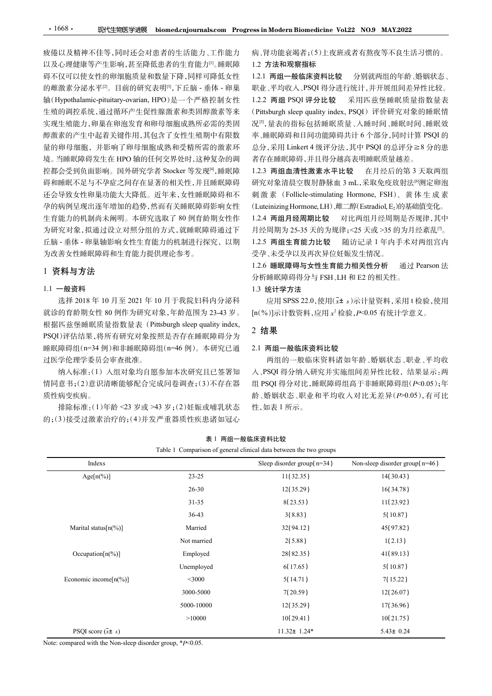疲倦以及精神不佳等,同时还会对患者的生活能力、工作能力 以及心理健康等产生影响,甚至降低患者的生育能力<sup>[1]</sup>。睡眠障 碍不仅可以使女性的卵细胞质量和数量下降,同样可降低女性 的雌激素分泌水平[2]。目前的研究表明[3],下丘脑 - 垂体 - 卵巢 <mark>•1668• 现代生物医学进展 biomed.cnjournals.com Progress.in Modern Biomedicine Vol.22 NO.9 MAY.2022<br>疲倦以及精神不佳等,同时还会对患者的生活能力、工作能力 病、肾功能衰竭者;(5)上夜班或者有熬夜等不良生活。<br>闪入心理健康等产生影响,甚至降低患者的生育的力。睡眠障碍,1.2 **方法和现象指标资料比较** 分別就两组的年齡、婚<br>每代可以使女性的卵细胞质量和数量</mark> 实现生殖能力,卵巢在卵泡发育和卵母细胞成熟所必需的类固 醇激素的产生中起着关键作用,其包含了女性生殖期中有限数 境。当睡眠障碍发生在 HPO 轴的任何交界处时,这种复杂的调 控都会受到负面影响。国外研究学者 Stocker 等发现[4],睡眠障 碍和睡眠不足与不孕症之间存在显著的相关性,并且睡眠障碍 研究对象清晨空腹肘静脉血 3 mL,采取免疫放射法®测定卵泡 还会导致女性卵巢功能大大降低。近年来,女性睡眠障碍和不 刺激素 (Follicle-stimulating Hormone, FSH)、黄体生成素 孕的病例呈现出逐年增加的趋势,然而有关睡眠障碍影响女性 (Luteinizing Hormone, LH)、雌二醇(Estradiol, E,)的基础值变化。 生育能力的机制尚未阐明。本研究选取了 80 例育龄期女性作 为研究对象,拟通过设立对照分组的方式,就睡眠障碍通过下 丘脑 - 垂体 - 卵巢轴影响女性生育能力的机制进行探究,以期 为改善女性睡眠障碍和生育能力提供理论参考。 根据匹兹堡睡眠质量指数量表(Pittsburgh sleep quality index,

# 1 资料与方法

## 1.1 一般资料

病、肾功能衰竭者;(5)上夜班或者有熬夜等不良生活习惯的。

# 1.2 方法和观察指标

生殖的调控系统,通过循环产生促性腺激素和类固醇激素等来 (Pittsburgh sleep quality index, PSQI) 评价研究对象的睡眠情 量的卵母细胞,并影响了卵母细胞成熟和受精所需的激素环 总分,采用 Linkert 4 级评分法,其中 PSQI 的总评分≧8 分的患 1.2.1 两组一般临床资料比较 分别就两组的年龄、婚姻状态、 职业、平均收入、PSQI 得分进行统计,并开展组间差异性比较。 1.2.2 两组 PSQI 评分比较 采用匹兹堡睡眠质量指数量表 ress in Modern Biomedicine Vol.22 NO.9 MAY.2022<br>病、肾功能衰竭者;(5)上夜班或者有熬夜等不良生活习惯的。<br>1.2 方法和观察指标<br>1.2.1 两组一般临床资料比较 分别就两组的年龄、婚姻状态、<br>职业、平均收入、PSQI得分进行统计,并开展组间差异性比较。<br>1.2.2 两组 PSQI 评分比较 采用匹兹堡睡眠质量指数量表<br>1.2.2 两组 PSQI 评分比较 采用匹兹堡睡眠质量指数量表<br> 况<sup>[5]</sup>,量表的指标包括睡眠质量、入睡时间、睡眠时间、睡眠效 率、睡眠障碍和日间功能障碍共计 6 个部分,同时计算 PSQI 的 ss in Modern Biomedicine Vol.22 NO.9 MAY.2022<br>病、肾功能衰竭者;(5)上夜班或者有熬夜等不良生活习惯的。<br>1.2 方法和观察指标<br>1.2.1 两组一般临床资料比较 分别就两组的年龄、婚姻状态、<br>职业、平均收入、PSQI 得分进行统计,并开展组间差异性比较。<br>1.2.2 两组 PSQI 评分比较 采用匹兹堡睡眠质量指数量表<br>(Pittsburgh sleep quality index, PS 者存在睡眠障碍,并且得分越高表明睡眠质量越差。 ss in Modern Biomedicine Vol.22 NO.9 MAY.2022<br>病、肾功能衰竭者;(5)上夜班或者有熬夜等不良生活习惯的。<br>1.2 方法和观察指标<br>1.2.1 两组一般临床资料比较 分别就两组的年龄、婚姻状态、<br>职业、平均收入,PSQ1得分进行统计,并开展组间差异性比较<br>1.2.2 两组 PSQ1 评分比较 采用匹兹堡睡眠质量指数睡眠情 (Fittsburgh sleep quality index, PS ss in Modern Biomedicine Vol.22 NO.9 MAY.2022<br>病、肾功能衰竭者;(5)上夜班或者有熬夜等不良生活习惯的。<br>1.2. 方法和现套指标资料比较 分別就两组的年龄、婚姻状态、<br>1.2. 丙组一般临床资料比较 分別就两组的年龄、婚姻状态、<br><br>取业、平均收入,PSQI 得分进行统计,并开展组间差异性比较。<br><br>1.2.2 两组 PSQI 评分比较 采用匹兹堡睡眠质量指数量表<br>(Pittsburgh sl ess in Modern Biomedicine Vol.22 NO.9 MAY.2022<br>病、肾功能衰竭者;(5)上夜班或者有熬夜等不良生活习惯的。<br>1.2 方法和观察指标<br>1.2.1 两组一般临床资料比较 分别就两组的年龄、婚姻状态、<br>取业、平均收入、PSQI得分进行统计、并开展组间差异性比较。<br><br>1.2.2 两组 PSQI 评分比较 采用匹兹堡睡眠质量指数量表<br>(Pittsburgh sleep quality index,

1.2.3 两组血清性激素水平比较 在月经后的第 3 天取两组 对比两组月经周期是否规律,其中 月经周期为 25-35 天的为规律;<25 天或 >35 的为月经紊乱[7] 。 1.2.5 两组生育能力比较 随访记录 1 年内手术对两组宫内 受孕、未受孕以及再次异位妊娠发生情况。 、平均收入,PSQI得分进行统计,并开展组间差异性比较。两组 PSQI 评分比较 采用匹兹堡睡眠质量指数 显示表明 sleep quality micks, PSQI 的研究对象的 sleep quality micks ( 最后最后最后的和日间功能障碍其中 6个部分,同时计算 PSQI 的<br>自动的时间 sleep quality micks ( 国家 ) 评价研究对象的睡眠眼镜里的时间 网络两种手段 PSQI 的一系统的情报<br>: ---

#### 1.3 统计学方法

#### 2 结果

#### 2.1 两组一般临床资料比较

| 丘脑 - 垂体 - 卵巢轴影响女性生育能力的机制进行探究, 以期<br>为改善女性睡眠障碍和生育能力提供理论参考。                                                                                                                                                                                                                                                                                                                       |             | 1.2.5 两组生育能力比较<br>受孕、未受孕以及再次异位妊娠发生情况。                                                            | 随访记录 1 年内手术对两组宫内                                                                                                                                                                                |
|---------------------------------------------------------------------------------------------------------------------------------------------------------------------------------------------------------------------------------------------------------------------------------------------------------------------------------------------------------------------------------|-------------|--------------------------------------------------------------------------------------------------|-------------------------------------------------------------------------------------------------------------------------------------------------------------------------------------------------|
| 1 资料与方法                                                                                                                                                                                                                                                                                                                                                                         |             | 1.2.6 睡眠障碍与女性生育能力相关性分析<br>分析睡眠障碍得分与 FSH、LH 和 E2 的相关性。                                            | 通过 Pearson 法                                                                                                                                                                                    |
| 1.1 一般资料<br>选择 2018年10月至 2021年10月于我院妇科内分泌科<br>就诊的育龄期女性 80 例作为研究对象,年龄范围为 23-43 岁。<br>根据匹兹堡睡眠质量指数量表 (Pittsburgh sleep quality index,<br>PSQI)评估结果,将所有研究对象按照是否存在睡眠障碍分为<br>睡眠障碍组(n=34 例)和非睡眠障碍组(n=46 例)。本研究已通<br>过医学伦理学委员会审查批准。<br>纳入标准:(1) 入组对象均自愿参加本次研究且已签署知<br>情同意书;(2)意识清晰能够配合完成问卷调查;(3)不存在器<br>质性病变疾病。<br>排除标准:(1)年龄 <23 岁或 >43 岁;(2)妊娠或哺乳状态<br>的;(3)接受过激素治疗的;(4)并发严重器质性疾患诸如冠心 |             | 1.3 统计学方法<br>$[n(\%)]$ 示计数资料,应用 $x^2$ 检验, $P<0.05$ 有统计学意义。<br>2 结果<br>2.1 两组一般临床资料比较<br>性,如表1所示。 | 应用 SPSS 22.0, 使用(x <sup>+</sup> s)示计量资料, 采用 t 检验, 使用<br>两组的一般临床资料诸如年龄、婚姻状态、职业、平均收<br>入、PSQI 得分纳入研究并实施组间差异性比较, 结果显示: 两<br>组 PSQI 得分对比,睡眠障碍组高于非睡眠障碍组(P<0.05);年<br>龄、婚姻状态、职业和平均收入对比无差异(P>0.05),有可比 |
|                                                                                                                                                                                                                                                                                                                                                                                 |             | 表 1 两组一般临床资料比较<br>Table 1 Comparison of general clinical data between the two groups             |                                                                                                                                                                                                 |
| Indexs                                                                                                                                                                                                                                                                                                                                                                          |             | Sleep disorder group( $n=34$ )                                                                   | Non-sleep disorder group(n=46)                                                                                                                                                                  |
| $Age[n(\%)]$                                                                                                                                                                                                                                                                                                                                                                    | $23 - 25$   | 11(32.35)                                                                                        | 14(30.43)                                                                                                                                                                                       |
|                                                                                                                                                                                                                                                                                                                                                                                 | 26-30       | 12(35.29)                                                                                        | 16(34.78)                                                                                                                                                                                       |
|                                                                                                                                                                                                                                                                                                                                                                                 | $31 - 35$   | 8(23.53)                                                                                         | 11(23.92)                                                                                                                                                                                       |
|                                                                                                                                                                                                                                                                                                                                                                                 | $36-43$     | 3(8.83)                                                                                          | 5(10.87)                                                                                                                                                                                        |
| Marital status[n(%)]                                                                                                                                                                                                                                                                                                                                                            | Married     | 32(94.12)                                                                                        | 45(97.82)                                                                                                                                                                                       |
|                                                                                                                                                                                                                                                                                                                                                                                 | Not married | 2(5.88)                                                                                          | 1(2.13)                                                                                                                                                                                         |
| Occupation[n(%)]                                                                                                                                                                                                                                                                                                                                                                | Employed    | 28(82.35)                                                                                        | 41(89.13)                                                                                                                                                                                       |
|                                                                                                                                                                                                                                                                                                                                                                                 | Unemployed  | 6(17.65)                                                                                         | 5(10.87)                                                                                                                                                                                        |
| Economic income $[n(\%)]$                                                                                                                                                                                                                                                                                                                                                       | $<$ 3000    | 5(14.71)                                                                                         | 7(15.22)                                                                                                                                                                                        |
|                                                                                                                                                                                                                                                                                                                                                                                 | 3000-5000   | 7(20.59)                                                                                         | 12(26.07)                                                                                                                                                                                       |
|                                                                                                                                                                                                                                                                                                                                                                                 | 5000-10000  | 12(35.29)                                                                                        | 17(36.96)                                                                                                                                                                                       |
|                                                                                                                                                                                                                                                                                                                                                                                 | >10000      | 10(29.41)                                                                                        | 10(21.75)                                                                                                                                                                                       |
| PSQI score $(\bar{x} \pm s)$                                                                                                                                                                                                                                                                                                                                                    |             | $11.32 \pm 1.24*$                                                                                | $5.43 \pm 0.24$                                                                                                                                                                                 |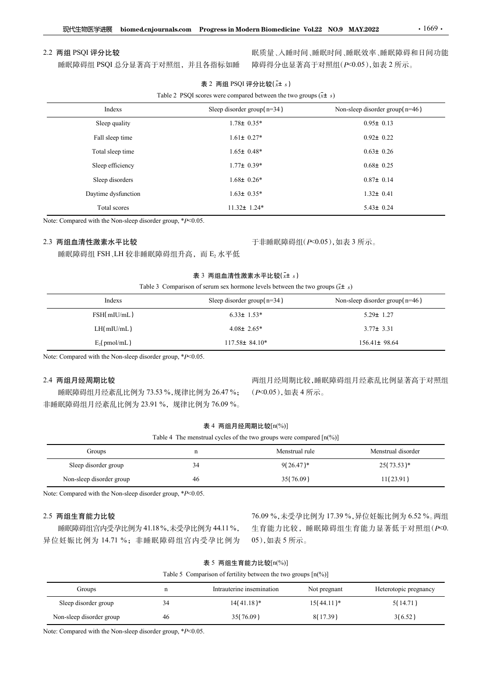### 2.2 两组 PSQI 评分比较

| 2.2 两组 PSQI 评分比较                                           |                                                                                                      | 眠质量、入睡时间、睡眠时间、睡眠效率、睡眠障碍和日间功能       |
|------------------------------------------------------------|------------------------------------------------------------------------------------------------------|------------------------------------|
| 睡眠障碍组 PSQI 总分显著高于对照组, 并且各指标如睡                              |                                                                                                      | 障碍得分也显著高于对照组(P<0.05),如表 2 所示。      |
|                                                            | 表 2 两组 PSQI 评分比较(x+ s)<br>Table 2 PSQI scores were compared between the two groups $(\bar{x} \pm s)$ |                                    |
| Indexs                                                     | Sleep disorder group( $n=34$ )                                                                       | Non-sleep disorder group( $n=46$ ) |
| Sleep quality                                              | $1.78 \pm 0.35*$                                                                                     | $0.95 \pm 0.13$                    |
| Fall sleep time                                            | $1.61 \pm 0.27*$                                                                                     | $0.92 \pm 0.22$                    |
| Total sleep time                                           | $1.65 \pm 0.48*$                                                                                     | $0.63 \pm 0.26$                    |
| Sleep efficiency                                           | $1.77\pm 0.39*$                                                                                      | $0.68 \pm 0.25$                    |
| Sleep disorders                                            | $1.68 \pm 0.26*$                                                                                     | $0.87 \pm 0.14$                    |
| Daytime dysfunction                                        | $1.63 \pm 0.35*$                                                                                     | $1.32 \pm 0.41$                    |
| Total scores                                               | $11.32 \pm 1.24*$                                                                                    | $5.43 \pm 0.24$                    |
| Note: Compared with the Non-sleep disorder group, *P<0.05. |                                                                                                      |                                    |
| 2.3 两组血清性激素水平比较                                            |                                                                                                      | 于非睡眠障碍组(P<0.05),如表 3 所示。           |
| 睡眠障碍组 FSH、LH 较非睡眠障碍组升高, 而 E2 水平低                           |                                                                                                      |                                    |
|                                                            | 表 3 两组血清性激素水平比较(x+ s)                                                                                |                                    |
|                                                            | Table 3 Comparison of serum sex hormone levels between the two groups $(\bar{x} \pm s)$              |                                    |
| Indexs                                                     | Sleep disorder group( $n=34$ )                                                                       | Non-sleep disorder group( $n=46$ ) |
| FSH(mIU/mL)                                                | $6.33 \pm 1.53*$                                                                                     | $5.29 \pm 1.27$                    |
| LH(mIU/mL)                                                 | $4.08 \pm 2.65*$                                                                                     | $3.77 \pm 3.31$                    |
|                                                            |                                                                                                      |                                    |

# 2.3 两组血清性激素水平比较

# 表 3 两组血清性激素水平比较 $(x + s)$

| Sleep disorders                                                                      |    | $1.68 \pm 0.26*$                                                                                                          | $0.87 \pm 0.14$                                                         |  |
|--------------------------------------------------------------------------------------|----|---------------------------------------------------------------------------------------------------------------------------|-------------------------------------------------------------------------|--|
| Daytime dysfunction                                                                  |    | $1.63 \pm 0.35*$                                                                                                          | $1.32 \pm 0.41$                                                         |  |
| Total scores                                                                         |    | $11.32 \pm 1.24*$                                                                                                         | $5.43 \pm 0.24$                                                         |  |
| Note: Compared with the Non-sleep disorder group, *P<0.05.                           |    |                                                                                                                           |                                                                         |  |
| 2.3 两组血清性激素水平比较                                                                      |    | 于非睡眠障碍组(P<0.05),如表 3 所示。                                                                                                  |                                                                         |  |
| 睡眠障碍组 FSH、LH 较非睡眠障碍组升高, 而 E2 水平低                                                     |    |                                                                                                                           |                                                                         |  |
|                                                                                      |    | 表 3 两组血清性激素水平比较(x± s)                                                                                                     |                                                                         |  |
|                                                                                      |    | Table 3 Comparison of serum sex hormone levels between the two groups $(\bar{x} \pm s)$                                   |                                                                         |  |
| Indexs                                                                               |    | Sleep disorder group( $n=34$ )                                                                                            | Non-sleep disorder group $(n=46)$                                       |  |
| FSH(mIU/mL)                                                                          |    | $6.33 \pm 1.53*$                                                                                                          | $5.29 \pm 1.27$                                                         |  |
| LH(mIU/mL)                                                                           |    | $4.08 \pm 2.65*$                                                                                                          | $3.77 \pm 3.31$                                                         |  |
| $E_2$ (pmol/mL)                                                                      |    | $117.58 \pm 84.10*$                                                                                                       | 156.41± 98.64                                                           |  |
| 睡眠障碍组月经紊乱比例为 73.53 %, 规律比例为 26.47 %;<br>非睡眠障碍组月经紊乱比例为 23.91%, 规律比例为 76.09%。          |    | (P<0.05),如表 4 所示。<br>表 4 两组月经周期比较[n(%)]<br>Table 4 The menstrual cycles of the two groups were compared $[n\binom{0}{0}]$ |                                                                         |  |
| Groups                                                                               | n  | Menstrual rule                                                                                                            | Menstrual disorder                                                      |  |
| Sleep disorder group                                                                 | 34 | $9(26.47)^*$                                                                                                              | $25(73.53)*$                                                            |  |
| Non-sleep disorder group                                                             | 46 | 35(76.09)                                                                                                                 | 11(23.91)                                                               |  |
| Note: Compared with the Non-sleep disorder group, *P<0.05.                           |    |                                                                                                                           |                                                                         |  |
| 2.5 两组生育能力比较<br>睡眠障碍组宫内受孕比例为 41.18%,未受孕比例为 44.11%,<br>异位妊娠比例为 14.71 %; 非睡眠障碍组宫内受孕比例为 |    | 05),如表5所示。                                                                                                                | 76.09%, 未受孕比例为 17.39%, 异位妊娠比例为 6.52%。两组<br>生育能力比较,睡眠障碍组生育能力显著低于对照组(P<0. |  |
|                                                                                      |    | 表 5 两组生育能力比较[n(%)]                                                                                                        |                                                                         |  |

### 2.4 两组月经周期比较

|  | 表 4 两组月经周期比较[n(%)] |  |
|--|--------------------|--|
|--|--------------------|--|

|  |  | Table 4 The menstrual cycles of the two groups were compared $\lceil n\binom{9}{0} \rceil$ |  |  |
|--|--|--------------------------------------------------------------------------------------------|--|--|
|--|--|--------------------------------------------------------------------------------------------|--|--|

| FSH(mIU/mL)                                                        |                                                                                            | $6.33 \pm 1.53*$                                                                     | $5.29 \pm 1.27$                         |
|--------------------------------------------------------------------|--------------------------------------------------------------------------------------------|--------------------------------------------------------------------------------------|-----------------------------------------|
| LH(mIU/mL)                                                         |                                                                                            | $4.08 \pm 2.65*$                                                                     | $3.77 \pm 3.31$                         |
| $E_2$ (pmol/mL)                                                    |                                                                                            | $117.58 \pm 84.10*$                                                                  | $156.41 \pm 98.64$                      |
| Note: Compared with the Non-sleep disorder group, $*P<0.05$ .      |                                                                                            |                                                                                      |                                         |
| 2.4 两组月经周期比较                                                       |                                                                                            |                                                                                      | 两组月经周期比较,睡眠障碍组月经紊乱比例显著高于对照组             |
|                                                                    | 睡眠障碍组月经紊乱比例为 73.53 %,规律比例为 26.47 %;                                                        | $(P<0.05)$ , 如表 4 所示。                                                                |                                         |
|                                                                    | 非睡眠障碍组月经紊乱比例为 23.91 %,规律比例为 76.09 %。                                                       |                                                                                      |                                         |
|                                                                    | 表 4 两组月经周期比较[n(%)]                                                                         |                                                                                      |                                         |
|                                                                    | Table 4 The menstrual cycles of the two groups were compared $\lceil n\binom{0}{0} \rceil$ |                                                                                      |                                         |
| Groups                                                             | $\mathbf n$                                                                                | Menstrual rule                                                                       | Menstrual disorder                      |
| Sleep disorder group                                               | 34                                                                                         | $9(26.47)^*$                                                                         | $25(73.53)*$                            |
| Non-sleep disorder group                                           | 46                                                                                         | 35(76.09)                                                                            | 11(23.91)                               |
| Note: Compared with the Non-sleep disorder group, $* p \le 0.05$ . |                                                                                            |                                                                                      |                                         |
| 2.5 两组生育能力比较                                                       |                                                                                            |                                                                                      | 76.09%, 未受孕比例为 17.39%, 异位妊娠比例为 6.52%。两组 |
|                                                                    | 睡眠障碍组宫内受孕比例为 41.18%,未受孕比例为 44.11%,                                                         |                                                                                      | 生育能力比较,睡眠障碍组生育能力显著低于对照组(P<0.            |
|                                                                    | 异位妊娠比例为 14.71 %; 非睡眠障碍组宫内受孕比例为                                                             | 05),如表 5 所示。                                                                         |                                         |
|                                                                    |                                                                                            | 表 5 两组生育能力比较[n(%)]                                                                   |                                         |
|                                                                    |                                                                                            | Table 5 Comparison of fertility between the two groups $\lceil n\binom{9}{0} \rceil$ |                                         |
| Groups                                                             | Intrauterine insemination<br>$\mathbf n$                                                   | Not pregnant                                                                         | Heterotopic pregnancy                   |
|                                                                    |                                                                                            |                                                                                      |                                         |

# 2.5 两组生育能力比较

|  | 表 5 两组生育能力比较[n(%)] |
|--|--------------------|
|--|--------------------|

| 2.4 两组月经周期比较                                                  |             |                                                                                            |                   |                | 两组月经周期比较,睡眠障碍组月经紊乱比例显著高于对照组                |
|---------------------------------------------------------------|-------------|--------------------------------------------------------------------------------------------|-------------------|----------------|--------------------------------------------|
| 睡眠障碍组月经紊乱比例为 73.53 %, 规律比例为 26.47 %;                          |             |                                                                                            | (P<0.05),如表 4 所示。 |                |                                            |
| 非睡眠障碍组月经紊乱比例为 23.91 %, 规律比例为 76.09 %。                         |             |                                                                                            |                   |                |                                            |
|                                                               |             | 表 4 两组月经周期比较[n(%)]                                                                         |                   |                |                                            |
|                                                               |             | Table 4 The menstrual cycles of the two groups were compared $\lceil n\binom{0}{0} \rceil$ |                   |                |                                            |
| Groups                                                        |             | n                                                                                          |                   | Menstrual rule | Menstrual disorder                         |
| Sleep disorder group                                          |             | 34                                                                                         |                   | $9(26.47)^*$   | $25(73.53)*$                               |
| Non-sleep disorder group                                      |             | 46                                                                                         | 35(76.09)         |                | 11(23.91)                                  |
| Note: Compared with the Non-sleep disorder group, $*p<0.05$ . |             |                                                                                            |                   |                |                                            |
|                                                               |             |                                                                                            |                   |                |                                            |
| 2.5 两组生育能力比较                                                  |             |                                                                                            |                   |                | 76.09 %, 未受孕比例为 17.39 %, 异位妊娠比例为 6.52 %。两组 |
| 睡眠障碍组宫内受孕比例为 41.18%,未受孕比例为 44.11%,                            |             |                                                                                            |                   |                | 生育能力比较,睡眠障碍组生育能力显著低于对照组(P<0.               |
| 异位妊娠比例为 14.71 %; 非睡眠障碍组宫内受孕比例为                                |             |                                                                                            | 05),如表5所示。        |                |                                            |
|                                                               |             | 表 5 两组生育能力比较[n(%)]                                                                         |                   |                |                                            |
|                                                               |             | Table 5 Comparison of fertility between the two groups $[n\binom{0}{0}]$                   |                   |                |                                            |
| Groups                                                        | $\mathbf n$ | Intrauterine insemination                                                                  |                   | Not pregnant   | Heterotopic pregnancy                      |
| Sleep disorder group                                          | 34          | $14(41.18)*$                                                                               |                   | $15(44.11)^*$  | 5(14.71)                                   |
|                                                               |             |                                                                                            |                   | 8(17.39)       | 3(6.52)                                    |
| Non-sleep disorder group                                      | 46          | 35(76.09)                                                                                  |                   |                |                                            |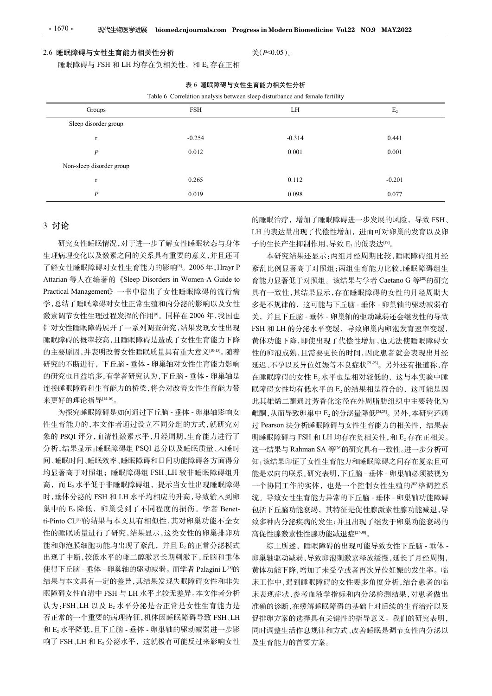## 2.6 睡眠障碍与女性生育能力相关性分析

| $\cdot$ 1670 $\cdot$<br>现代生物医学进展                    |                                                                             | biomed.cnjournals.com Progress in Modern Biomedicine Vol.22 NO.9 MAY.2022 |                                 |  |
|-----------------------------------------------------|-----------------------------------------------------------------------------|---------------------------------------------------------------------------|---------------------------------|--|
|                                                     |                                                                             |                                                                           |                                 |  |
| 2.6 睡眠障碍与女性生育能力相关性分析                                |                                                                             | 关 $( P< 0.05 )$ 。                                                         |                                 |  |
|                                                     | 睡眠障碍与 FSH 和 LH 均存在负相关性, 和 E2 存在正相                                           |                                                                           |                                 |  |
|                                                     | 表 6 睡眠障碍与女性生育能力相关性分析                                                        |                                                                           |                                 |  |
|                                                     | Table 6 Correlation analysis between sleep disturbance and female fertility |                                                                           |                                 |  |
| Groups                                              | FSH                                                                         | LH                                                                        | E <sub>2</sub>                  |  |
| Sleep disorder group                                |                                                                             |                                                                           |                                 |  |
| $\mathbf{r}$                                        | $-0.254$                                                                    | $-0.314$                                                                  | 0.441                           |  |
| $\boldsymbol{P}$                                    | 0.012                                                                       | 0.001                                                                     | 0.001                           |  |
| Non-sleep disorder group                            |                                                                             |                                                                           |                                 |  |
| $\mathbf{r}$                                        | 0.265                                                                       | 0.112                                                                     | $-0.201$                        |  |
| $\boldsymbol{P}$                                    | 0.019                                                                       | 0.098                                                                     | 0.077                           |  |
|                                                     |                                                                             |                                                                           | 的睡眠治疗, 增加了睡眠障碍进一步发展的风险, 导致 FSH、 |  |
| 3 讨论                                                |                                                                             |                                                                           | LH 的表达量出现了代偿性增加, 进而可对卵巢的发育以及卵   |  |
|                                                     | 研究女性睡眠情况,对于进一步了解女性睡眠状态与身体                                                   | 子的生长产生抑制作用,导致 E2 的低表达 <sup>[19]</sup> 。                                   |                                 |  |
| 生理病理变化以及激素之间的关系具有重要的意义,并且还可                         |                                                                             | 本研究结果还显示:两组月经周期比较,睡眠障碍组月经                                                 |                                 |  |
| 了解女性睡眠障碍对女性生育能力的影响 <sup>[8]</sup> 。2006年, Hrayr P   |                                                                             | 紊乱比例显著高于对照组;两组生育能力比较,睡眠障碍组生                                               |                                 |  |
| Attarian 等人在编著的《Sleep Disorders in Women-A Guide to |                                                                             | 育能力显著低于对照组。该结果与学者 Caetano G 等 <sup>[20</sup> 的研究                          |                                 |  |
| Practical Management》一书中指出了女性睡眠障碍的流行病               |                                                                             | 具有一致性,其结果显示,存在睡眠障碍的女性的月经周期大                                               |                                 |  |
| 学,总结了睡眠障碍对女性正常生殖和内分泌的影响以及女性                         |                                                                             | 多是不规律的, 这可能与下丘脑 - 垂体 - 卵巢轴的驱动减弱有                                          |                                 |  |
| 激素调节女性生理过程发挥的作用 <sup>[9]</sup> 。同样在 2006年,我国也       |                                                                             | 关,并且下丘脑 - 垂体 - 卵巢轴的驱动减弱还会继发性的导致                                           |                                 |  |
| 针对女性睡眠障碍展开了一系列调查研究,结果发现女性出现                         |                                                                             | FSH 和 LH 的分泌水平变缓, 导致卵巢内卵泡发育速率变缓,                                          |                                 |  |
|                                                     | 睡眠障碍的概率较高,且睡眠障碍是造成了女性生育能力下降                                                 | 黄体功能下降,即使出现了代偿性增加,也无法使睡眠障碍女                                               |                                 |  |

### 表 6 睡眠障碍与女性生育能力相关性分析

# 3 讨论

研究女性睡眠情况,对于进一步了解女性睡眠状态与身体 生理病理变化以及激素之间的关系具有重要的意义,并且还可 了解女性睡眠障碍对女性生育能力的影响[8]。2006年, Hrayr P 学,总结了睡眠障碍对女性正常生殖和内分泌的影响以及女性 激素调节女性生理过程发挥的作用[9]。同样在 2006 年,我国也 针对女性睡眠障碍展开了一系列调查研究,结果发现女性出现 睡眠障碍的概率较高,且睡眠障碍是造成了女性生育能力下降 的主要原因,并表明改善女性睡眠质量具有重大意义[10-13]。随着 研究的不断进行,下丘脑 - 垂体 - 卵巢轴对女性生育能力影响 的研究也日益增多,有学者研究认为,下丘脑 - 垂体 - 卵巢轴是 连接睡眠障碍和生育能力的桥梁,将会对改善女性生育能力带 来更好的理论指导[14-16]。 。

为探究睡眠障碍是如何通过下丘脑 - 垂体 - 卵巢轴影响女 性生育能力的,本文作者通过设立不同分组的方式,就研究对 象的 PSQI 评分,血清性激素水平,月经周期,生育能力进行了 间、睡眠时间、睡眠效率、睡眠障碍和日间功能障碍各方面得分 均显著高于对照组;睡眠障碍组 FSH、LH 较非睡眠障碍组升 高,而 E2 水平低于非睡眠障碍组,提示当女性出现睡眠障碍 时,垂体分泌的 FSH 和 LH 水平均相应的升高,导致输入到卵 巢中的 E2 降低, 卵巢受到了不同程度的损伤。学者 Benetti-Pinto CL[17]的结果与本文具有相似性,其对卵巢功能不全女 性的睡眠质量进行了研究,结果显示,这类女性的卵巢排卵功 能和卵泡膜细胞功能均出现了紊乱, 并且 E2 的正常分泌模式 出现了中断,较低水平的雌二醇激素长期刺激下,丘脑和垂体 使得下丘脑 - 垂体 - 卵巢轴的驱动减弱。而学者 Palagini L[18]<sup>的</sup> 结果与本文具有一定的差异,其结果发现失眠障碍女性和非失 眠障碍女性血清中 FSH 与 LH 水平比较无差异。本文作者分析 认为:FSH、LH 以及 E2 水平分泌是否正常是女性生育能力是 否正常的一个重要的病理特征,机体因睡眠障碍导致 FSH、LH 和 E2 水平降低,且下丘脑 - 垂体 - 卵巢轴的驱动减弱进一步影 响了 FSH、LH 和 E2 分泌水平,这就极有可能反过来影响女性

分析,结果显示:睡眠障碍组 PSQI 总分以及睡眠质量、入睡时 → 这一结果与 Rahman SA 等<sup>[26]</sup>的研究具有一致性。进一步分析可 本研究结果还显示:两组月经周期比较,睡眠障碍组月经 紊乱比例显著高于对照组;两组生育能力比较,睡眠障碍组生 具有一致性,其结果显示,存在睡眠障碍的女性的月经周期大 多是不规律的,这可能与下丘脑 - 垂体 - 卵巢轴的驱动减弱有 关,并且下丘脑 - 垂体 - 卵巢轴的驱动减弱还会继发性的导致 FSH 和 LH 的分泌水平变缓,导致卵巢内卵泡发育速率变缓, 黄体功能下降,即使出现了代偿性增加,也无法使睡眠障碍女 性的卵泡成熟,且需要更长的时间,因此患者就会表现出月经 延迟、不孕以及异位妊娠等不良症状[21-23]。另外还有报道称,存 在睡眠障碍的女性 E2 水平也是相对较低的,这与本实验中睡 眠障碍女性均有低水平的 E2 的结果相是符合的, 这可能是因 此其雄烯二酮通过芳香化途径在外周脂肪组织中主要转化为 雌酮,从而导致卵巢中 E2 的分泌量降低[24,25]。另外,本研究还通 过 Pearson 法分析睡眠障碍与女性生育能力的相关性,结果表 明睡眠障碍与 FSH 和 LH 均存在负相关性, 和 E2 存在正相关。 这一结果与 Rahman SA <sup>等</sup>[26]的研究具有一致性。进一步分析可 知:该结果印证了女性生育能力和睡眠障碍之间存在复杂且可 能是双向的联系。研究表明,下丘脑 - 垂体 - 卵巢轴必须被视为 一个协同工作的实体,也是一个控制女性生殖的严格调控系 统。导致女性生育能力异常的下丘脑 - 垂体 - 卵巢轴功能障碍 包括下丘脑功能衰竭,其特征是促性腺激素性腺功能减退,导 致多种内分泌疾病的发生;并且出现了继发于卵巢功能衰竭的 高促性腺激素性性腺功能减退症<sup>[27-30]</sup>。

> 综上所述,睡眠障碍的出现可能导致女性下丘脑 - 垂体 -卵巢轴驱动减弱,导致卵泡刺激素释放缓慢,延长了月经周期, 黄体功能下降,增加了未受孕或者再次异位妊娠的发生率。临 床工作中,遇到睡眠障碍的女性要多角度分析,结合患者的临 床表现症状,参考血液学指标和内分泌检测结果,对患者做出 准确的诊断,在缓解睡眠障碍的基础上对后续的生育治疗以及 促排卵方案的选择具有关键性的指导意义。我们的研究表明, 同时调整生活作息规律和方式、改善睡眠是调节女性内分泌以 及生育能力的首要方案。